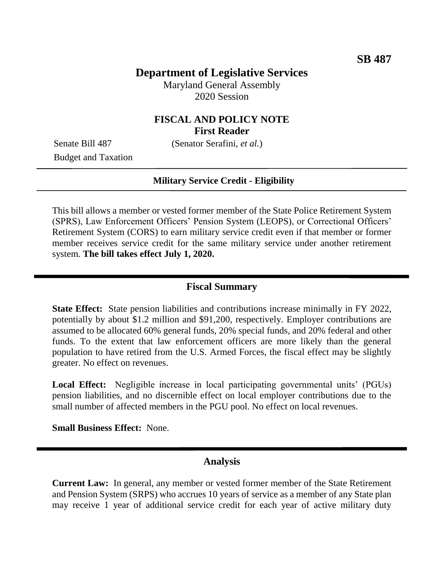# **Department of Legislative Services**

Maryland General Assembly 2020 Session

### **FISCAL AND POLICY NOTE First Reader**

Budget and Taxation

Senate Bill 487 (Senator Serafini, *et al.*)

#### **Military Service Credit - Eligibility**

This bill allows a member or vested former member of the State Police Retirement System (SPRS), Law Enforcement Officers' Pension System (LEOPS), or Correctional Officers' Retirement System (CORS) to earn military service credit even if that member or former member receives service credit for the same military service under another retirement system. **The bill takes effect July 1, 2020.** 

### **Fiscal Summary**

**State Effect:** State pension liabilities and contributions increase minimally in FY 2022, potentially by about \$1.2 million and \$91,200, respectively. Employer contributions are assumed to be allocated 60% general funds, 20% special funds, and 20% federal and other funds. To the extent that law enforcement officers are more likely than the general population to have retired from the U.S. Armed Forces, the fiscal effect may be slightly greater. No effect on revenues.

**Local Effect:** Negligible increase in local participating governmental units' (PGUs) pension liabilities, and no discernible effect on local employer contributions due to the small number of affected members in the PGU pool. No effect on local revenues.

**Small Business Effect:** None.

#### **Analysis**

**Current Law:** In general, any member or vested former member of the State Retirement and Pension System (SRPS) who accrues 10 years of service as a member of any State plan may receive 1 year of additional service credit for each year of active military duty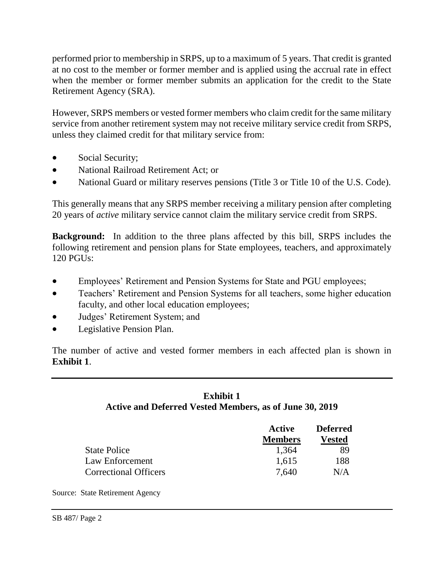performed prior to membership in SRPS, up to a maximum of 5 years. That credit is granted at no cost to the member or former member and is applied using the accrual rate in effect when the member or former member submits an application for the credit to the State Retirement Agency (SRA).

However, SRPS members or vested former members who claim credit for the same military service from another retirement system may not receive military service credit from SRPS, unless they claimed credit for that military service from:

- Social Security;
- National Railroad Retirement Act; or
- National Guard or military reserves pensions (Title 3 or Title 10 of the U.S. Code).

This generally means that any SRPS member receiving a military pension after completing 20 years of *active* military service cannot claim the military service credit from SRPS.

**Background:** In addition to the three plans affected by this bill, SRPS includes the following retirement and pension plans for State employees, teachers, and approximately 120 PGUs:

- Employees' Retirement and Pension Systems for State and PGU employees;
- Teachers' Retirement and Pension Systems for all teachers, some higher education faculty, and other local education employees;
- Judges' Retirement System; and
- Legislative Pension Plan.

The number of active and vested former members in each affected plan is shown in **Exhibit 1**.

# **Exhibit 1 Active and Deferred Vested Members, as of June 30, 2019**

|                              | Active<br><b>Members</b> | <b>Deferred</b><br>Vested |
|------------------------------|--------------------------|---------------------------|
|                              |                          |                           |
| <b>State Police</b>          | 1,364                    | 89                        |
| Law Enforcement              | 1,615                    | 188                       |
| <b>Correctional Officers</b> | 7.640                    | N/A                       |

Source: State Retirement Agency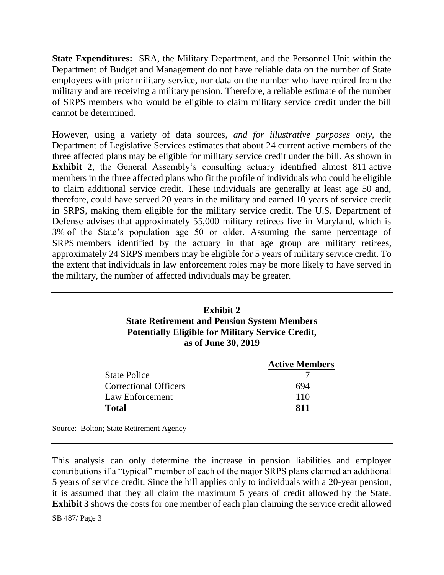**State Expenditures:** SRA, the Military Department, and the Personnel Unit within the Department of Budget and Management do not have reliable data on the number of State employees with prior military service, nor data on the number who have retired from the military and are receiving a military pension. Therefore, a reliable estimate of the number of SRPS members who would be eligible to claim military service credit under the bill cannot be determined.

However, using a variety of data sources, *and for illustrative purposes only*, the Department of Legislative Services estimates that about 24 current active members of the three affected plans may be eligible for military service credit under the bill. As shown in **Exhibit 2**, the General Assembly's consulting actuary identified almost 811 active members in the three affected plans who fit the profile of individuals who could be eligible to claim additional service credit. These individuals are generally at least age 50 and, therefore, could have served 20 years in the military and earned 10 years of service credit in SRPS, making them eligible for the military service credit. The U.S. Department of Defense advises that approximately 55,000 military retirees live in Maryland, which is 3% of the State's population age 50 or older. Assuming the same percentage of SRPS members identified by the actuary in that age group are military retirees, approximately 24 SRPS members may be eligible for 5 years of military service credit. To the extent that individuals in law enforcement roles may be more likely to have served in the military, the number of affected individuals may be greater.

### **Exhibit 2 State Retirement and Pension System Members Potentially Eligible for Military Service Credit, as of June 30, 2019**

|                              | <b>Active Members</b> |
|------------------------------|-----------------------|
| <b>State Police</b>          |                       |
| <b>Correctional Officers</b> | 694                   |
| Law Enforcement              | 110                   |
| <b>Total</b>                 | 811                   |
|                              |                       |

Source: Bolton; State Retirement Agency

This analysis can only determine the increase in pension liabilities and employer contributions if a "typical" member of each of the major SRPS plans claimed an additional 5 years of service credit. Since the bill applies only to individuals with a 20-year pension, it is assumed that they all claim the maximum 5 years of credit allowed by the State. **Exhibit 3** shows the costs for one member of each plan claiming the service credit allowed

SB 487/ Page 3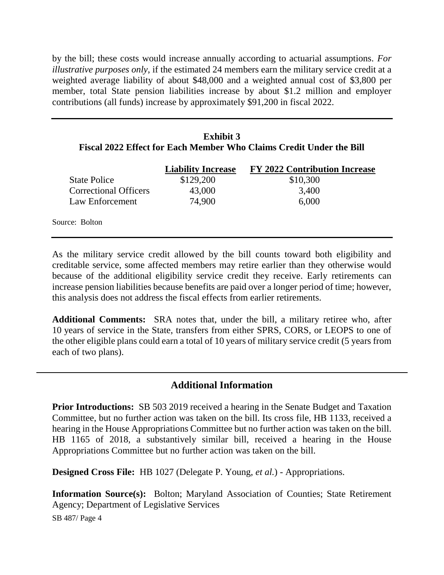by the bill; these costs would increase annually according to actuarial assumptions. *For illustrative purposes only*, if the estimated 24 members earn the military service credit at a weighted average liability of about \$48,000 and a weighted annual cost of \$3,800 per member, total State pension liabilities increase by about \$1.2 million and employer contributions (all funds) increase by approximately \$91,200 in fiscal 2022.

## **Exhibit 3 Fiscal 2022 Effect for Each Member Who Claims Credit Under the Bill**

|                              | <b>Liability Increase</b> | <b>FY 2022 Contribution Increase</b> |
|------------------------------|---------------------------|--------------------------------------|
| <b>State Police</b>          | \$129,200                 | \$10,300                             |
| <b>Correctional Officers</b> | 43,000                    | 3,400                                |
| Law Enforcement              | 74,900                    | 6,000                                |
| Source: Bolton               |                           |                                      |

As the military service credit allowed by the bill counts toward both eligibility and creditable service, some affected members may retire earlier than they otherwise would because of the additional eligibility service credit they receive. Early retirements can increase pension liabilities because benefits are paid over a longer period of time; however, this analysis does not address the fiscal effects from earlier retirements.

**Additional Comments:** SRA notes that, under the bill, a military retiree who, after 10 years of service in the State, transfers from either SPRS, CORS, or LEOPS to one of the other eligible plans could earn a total of 10 years of military service credit (5 years from each of two plans).

# **Additional Information**

**Prior Introductions:** SB 503 2019 received a hearing in the Senate Budget and Taxation Committee, but no further action was taken on the bill. Its cross file, HB 1133, received a hearing in the House Appropriations Committee but no further action was taken on the bill. HB 1165 of 2018, a substantively similar bill, received a hearing in the House Appropriations Committee but no further action was taken on the bill.

**Designed Cross File:** HB 1027 (Delegate P. Young, *et al.*) - Appropriations.

**Information Source(s):** Bolton; Maryland Association of Counties; State Retirement Agency; Department of Legislative Services

SB 487/ Page 4